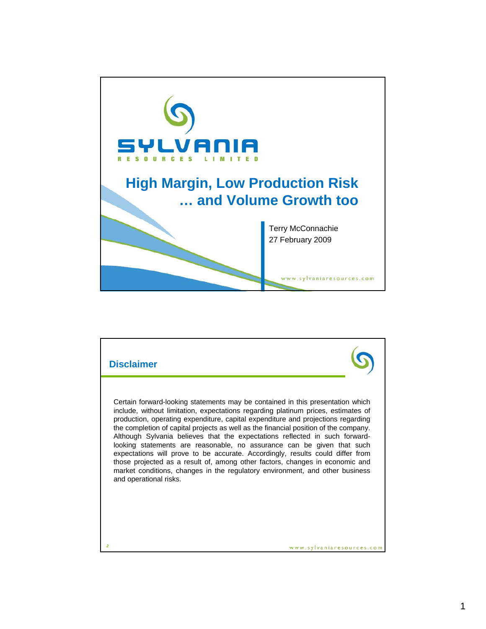

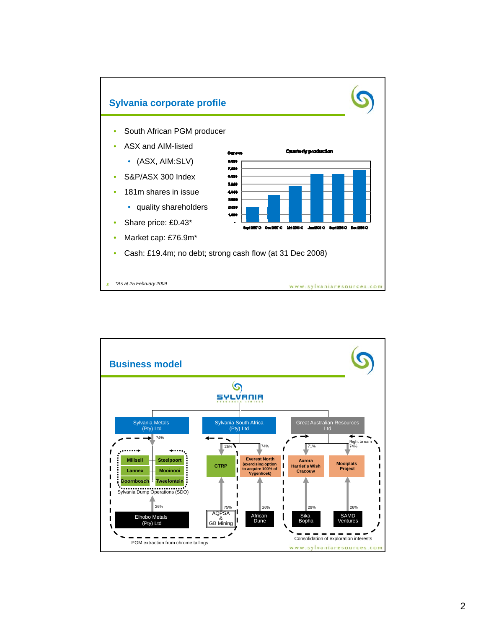

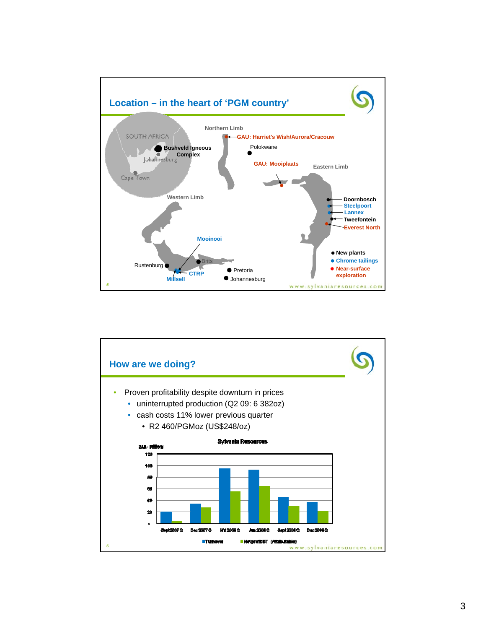

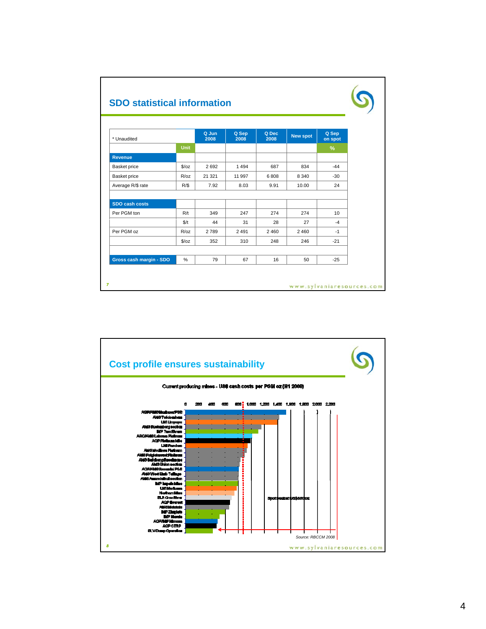|                         |               | Q Jun   |               | Q Dec |                 |                  |
|-------------------------|---------------|---------|---------------|-------|-----------------|------------------|
| * Unaudited             |               | 2008    | Q Sep<br>2008 | 2008  | <b>New spot</b> | Q Sep<br>on spot |
|                         | <b>Unit</b>   |         |               |       |                 | $\%$             |
| <b>Revenue</b>          |               |         |               |       |                 |                  |
| Basket price            | S/oz          | 2692    | 1494          | 687   | 834             | $-44$            |
| Basket price            | R/oz          | 21 3 21 | 11 997        | 6808  | 8 3 4 0         | $-30$            |
| Average R/\$ rate       | R/S           | 7.92    | 8.03          | 9.91  | 10.00           | 24               |
|                         |               |         |               |       |                 |                  |
| <b>SDO cash costs</b>   |               |         |               |       |                 |                  |
| Per PGM ton             | R/t           | 349     | 247           | 274   | 274             | 10 <sup>1</sup>  |
|                         | \$/t          | 44      | 31            | 28    | 27              | $-4$             |
| Per PGM oz              | R/oz          | 2789    | 2 4 9 1       | 2460  | 2460            | $-1$             |
|                         | $\sqrt{2}/oz$ | 352     | 310           | 248   | 246             | $-21$            |
|                         |               |         |               |       |                 |                  |
| Gross cash margin - SDO | %             | 79      | 67            | 16    | 50              | $-25$            |

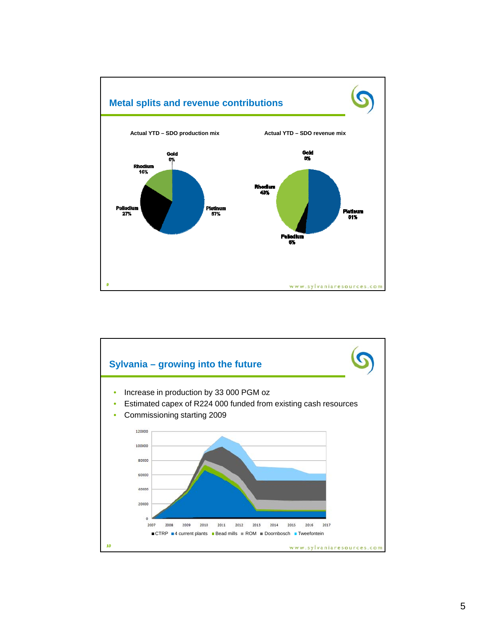

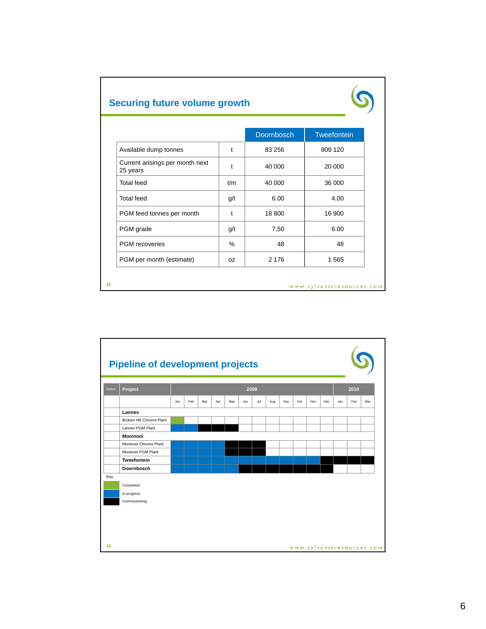*11*

|                                             |     | <b>Doornbosch</b> | Tweefontein |
|---------------------------------------------|-----|-------------------|-------------|
| Available dump tonnes                       | t   | 83 256            | 909 120     |
| Current arisings per month next<br>25 years | t   | 40 000            | 20 000      |
| <b>Total feed</b>                           | t/m | 40 000            | 36 000      |
| <b>Total feed</b>                           | g/t | 6.00              | 4.00        |
| PGM feed tonnes per month                   | t   | 18 800            | 16 900      |
| PGM grade                                   | g/t | 7.50              | 6.00        |
| PGM recoveries                              | %   | 48                | 48          |
| PGM per month (estimate)                    | OZ. | 2 1 7 6           | 1565        |



www.sylvaniaresources.com

S

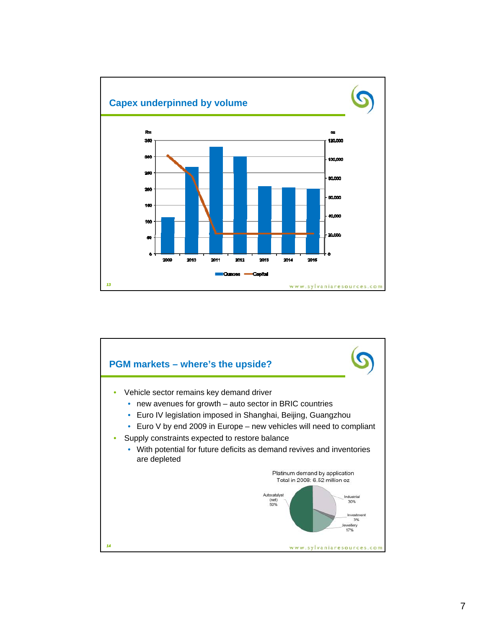

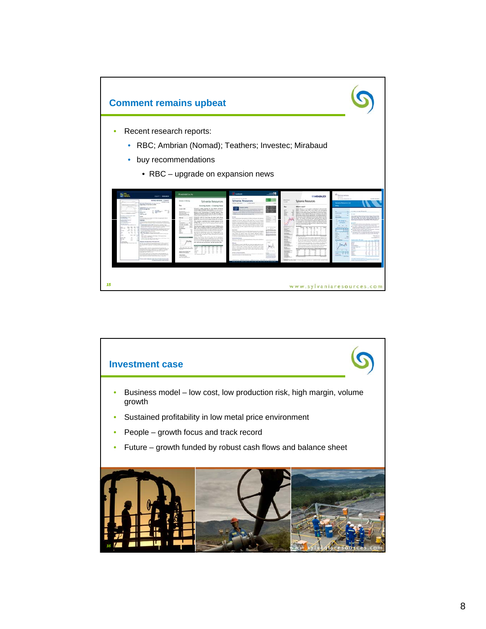

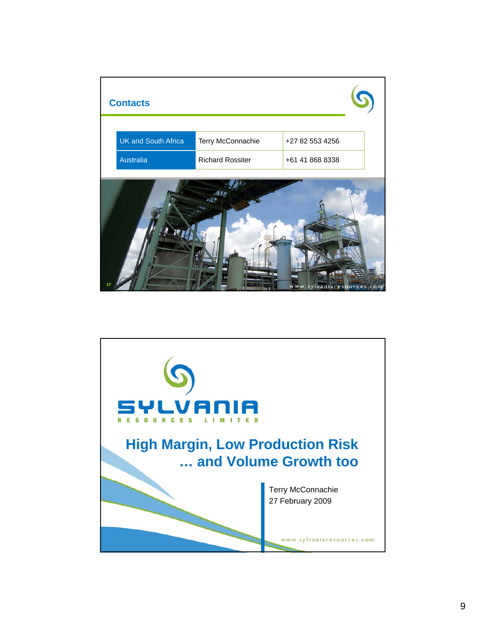

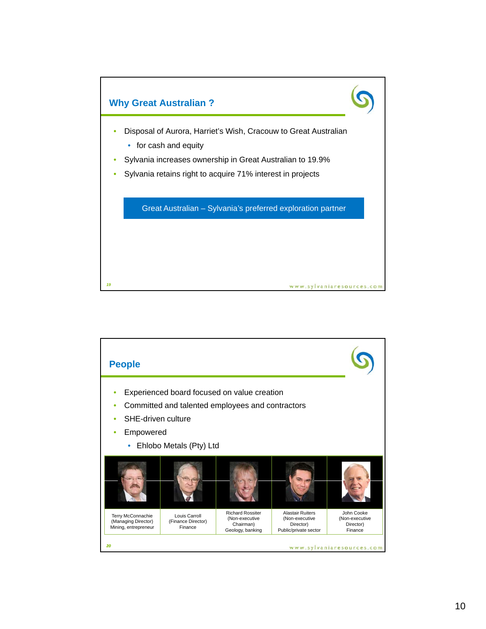